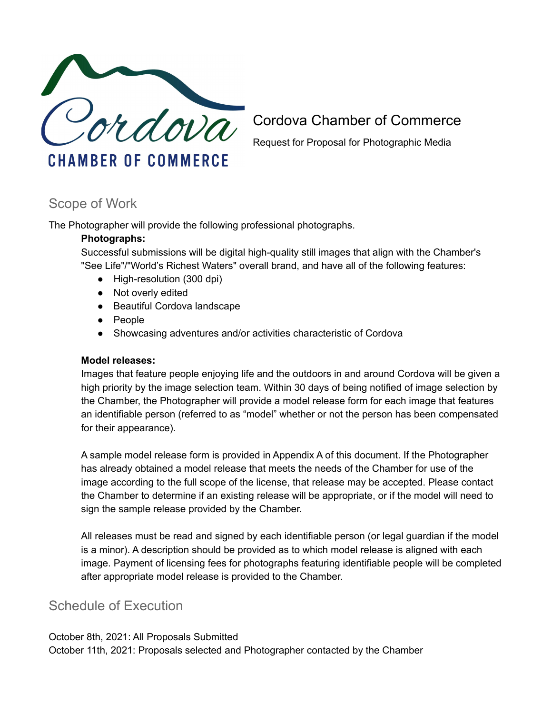

Cordova Chamber of Commerce

Request for Proposal for Photographic Media

# Scope of Work

The Photographer will provide the following professional photographs.

## **Photographs:**

Successful submissions will be digital high-quality still images that align with the Chamber's "See Life"/"World's Richest Waters" overall brand, and have all of the following features:

- High-resolution (300 dpi)
- Not overly edited
- Beautiful Cordova landscape
- People
- Showcasing adventures and/or activities characteristic of Cordova

#### **Model releases:**

Images that feature people enjoying life and the outdoors in and around Cordova will be given a high priority by the image selection team. Within 30 days of being notified of image selection by the Chamber, the Photographer will provide a model release form for each image that features an identifiable person (referred to as "model" whether or not the person has been compensated for their appearance).

A sample model release form is provided in Appendix A of this document. If the Photographer has already obtained a model release that meets the needs of the Chamber for use of the image according to the full scope of the license, that release may be accepted. Please contact the Chamber to determine if an existing release will be appropriate, or if the model will need to sign the sample release provided by the Chamber.

All releases must be read and signed by each identifiable person (or legal guardian if the model is a minor). A description should be provided as to which model release is aligned with each image. Payment of licensing fees for photographs featuring identifiable people will be completed after appropriate model release is provided to the Chamber.

# Schedule of Execution

October 8th, 2021: All Proposals Submitted October 11th, 2021: Proposals selected and Photographer contacted by the Chamber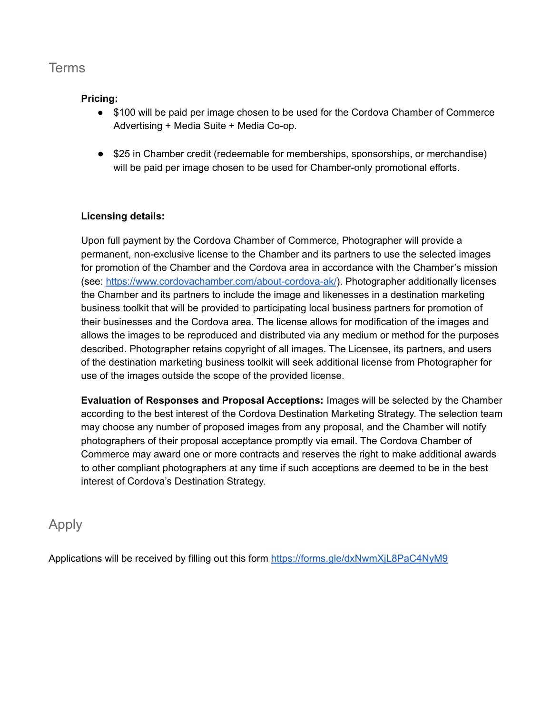# **Terms**

## **Pricing:**

- \$100 will be paid per image chosen to be used for the Cordova Chamber of Commerce Advertising + Media Suite + Media Co-op.
- \$25 in Chamber credit (redeemable for memberships, sponsorships, or merchandise) will be paid per image chosen to be used for Chamber-only promotional efforts.

## **Licensing details:**

Upon full payment by the Cordova Chamber of Commerce, Photographer will provide a permanent, non-exclusive license to the Chamber and its partners to use the selected images for promotion of the Chamber and the Cordova area in accordance with the Chamber's mission (see: <https://www.cordovachamber.com/about-cordova-ak/>). Photographer additionally licenses the Chamber and its partners to include the image and likenesses in a destination marketing business toolkit that will be provided to participating local business partners for promotion of their businesses and the Cordova area. The license allows for modification of the images and allows the images to be reproduced and distributed via any medium or method for the purposes described. Photographer retains copyright of all images. The Licensee, its partners, and users of the destination marketing business toolkit will seek additional license from Photographer for use of the images outside the scope of the provided license.

**Evaluation of Responses and Proposal Acceptions:** Images will be selected by the Chamber according to the best interest of the Cordova Destination Marketing Strategy. The selection team may choose any number of proposed images from any proposal, and the Chamber will notify photographers of their proposal acceptance promptly via email. The Cordova Chamber of Commerce may award one or more contracts and reserves the right to make additional awards to other compliant photographers at any time if such acceptions are deemed to be in the best interest of Cordova's Destination Strategy.

## Apply

Applications will be received by filling out this form <https://forms.gle/dxNwmXjL8PaC4NyM9>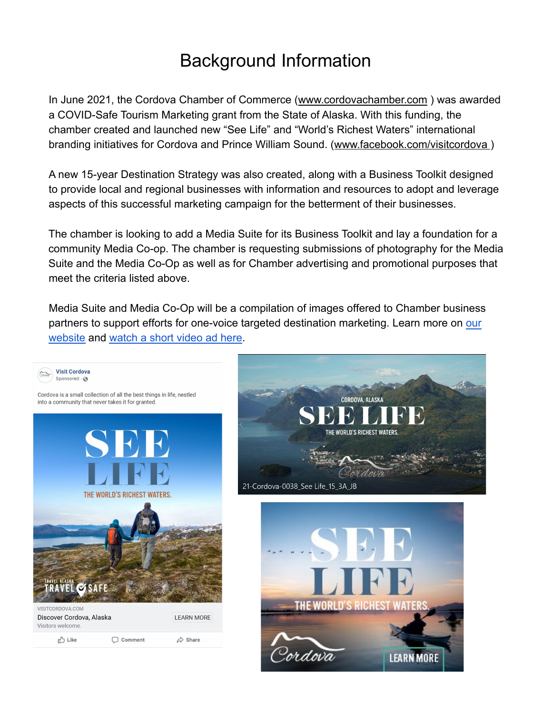# Background Information

In June 2021, the Cordova Chamber of Commerce ([www.cordovachamber.com](http://www.cordovachamber.com) ) was awarded a COVID-Safe Tourism Marketing grant from the State of Alaska. With this funding, the chamber created and launched new "See Life" and "World's Richest Waters" international branding initiatives for Cordova and Prince William Sound. ([www.facebook.com/visitcordova \)](http://www.facebook.com/visitcordova)

A new 15-year Destination Strategy was also created, along with a Business Toolkit designed to provide local and regional businesses with information and resources to adopt and leverage aspects of this successful marketing campaign for the betterment of their businesses.

The chamber is looking to add a Media Suite for its Business Toolkit and lay a foundation for a community Media Co-op. The chamber is requesting submissions of photography for the Media Suite and the Media Co-Op as well as for Chamber advertising and promotional purposes that meet the criteria listed above.

Media Suite and Media Co-Op will be a compilation of images offered to Chamber business partners to support efforts for one-voice targeted destination marketing. Learn more on our [website](https://www.cordovachamber.com) and [watch a short video ad here.](https://youtu.be/ifESNlqfc6A)

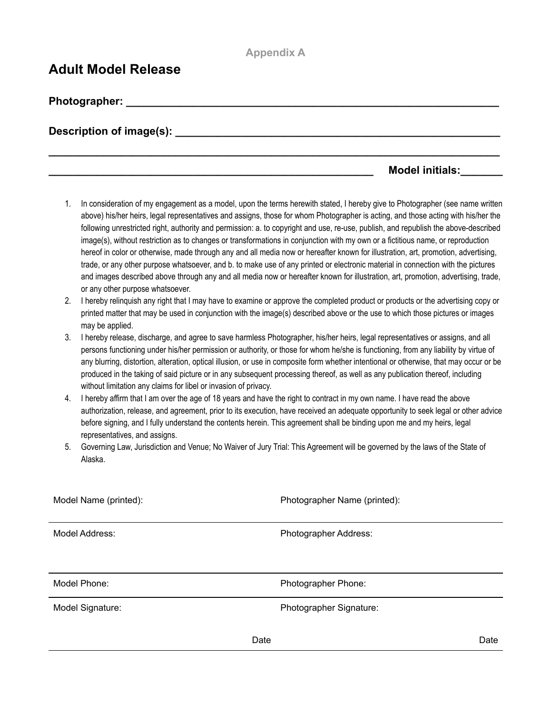### **Appendix A**

**\_\_\_\_\_\_\_\_\_\_\_\_\_\_\_\_\_\_\_\_\_\_\_\_\_\_\_\_\_\_\_\_\_\_\_\_\_\_\_\_\_\_\_\_\_\_\_\_\_\_\_\_\_\_\_\_\_\_\_\_\_\_\_\_\_\_\_\_\_\_\_\_\_\_\_**

# **Adult Model Release**

**Photographer: with a set of the set of the set of the set of the set of the set of the set of the set of the set of the set of the set of the set of the set of the set of the set of the set of the set of the set of the** 

**Description of image(s): \_\_\_\_\_\_\_\_\_\_\_\_\_\_\_\_\_\_\_\_\_\_\_\_\_\_\_\_\_\_\_\_\_\_\_\_\_\_\_\_\_\_\_\_\_\_\_\_\_\_\_\_\_\_**

## **Model initials:**

- 1. In consideration of my engagement as a model, upon the terms herewith stated, I hereby give to Photographer (see name written above) his/her heirs, legal representatives and assigns, those for whom Photographer is acting, and those acting with his/her the following unrestricted right, authority and permission: a. to copyright and use, re-use, publish, and republish the above-described image(s), without restriction as to changes or transformations in conjunction with my own or a fictitious name, or reproduction hereof in color or otherwise, made through any and all media now or hereafter known for illustration, art, promotion, advertising, trade, or any other purpose whatsoever, and b. to make use of any printed or electronic material in connection with the pictures and images described above through any and all media now or hereafter known for illustration, art, promotion, advertising, trade, or any other purpose whatsoever.
- 2. I hereby relinquish any right that I may have to examine or approve the completed product or products or the advertising copy or printed matter that may be used in conjunction with the image(s) described above or the use to which those pictures or images may be applied.
- 3. I hereby release, discharge, and agree to save harmless Photographer, his/her heirs, legal representatives or assigns, and all persons functioning under his/her permission or authority, or those for whom he/she is functioning, from any liability by virtue of any blurring, distortion, alteration, optical illusion, or use in composite form whether intentional or otherwise, that may occur or be produced in the taking of said picture or in any subsequent processing thereof, as well as any publication thereof, including without limitation any claims for libel or invasion of privacy.
- 4. I hereby affirm that I am over the age of 18 years and have the right to contract in my own name. I have read the above authorization, release, and agreement, prior to its execution, have received an adequate opportunity to seek legal or other advice before signing, and I fully understand the contents herein. This agreement shall be binding upon me and my heirs, legal representatives, and assigns.
- 5. Governing Law, Jurisdiction and Venue; No Waiver of Jury Trial: This Agreement will be governed by the laws of the State of Alaska.

| Model Name (printed): | Photographer Name (printed): |
|-----------------------|------------------------------|
| Model Address:        | Photographer Address:        |
| Model Phone:          | Photographer Phone:          |
| Model Signature:      | Photographer Signature:      |
|                       | Date<br>Date                 |